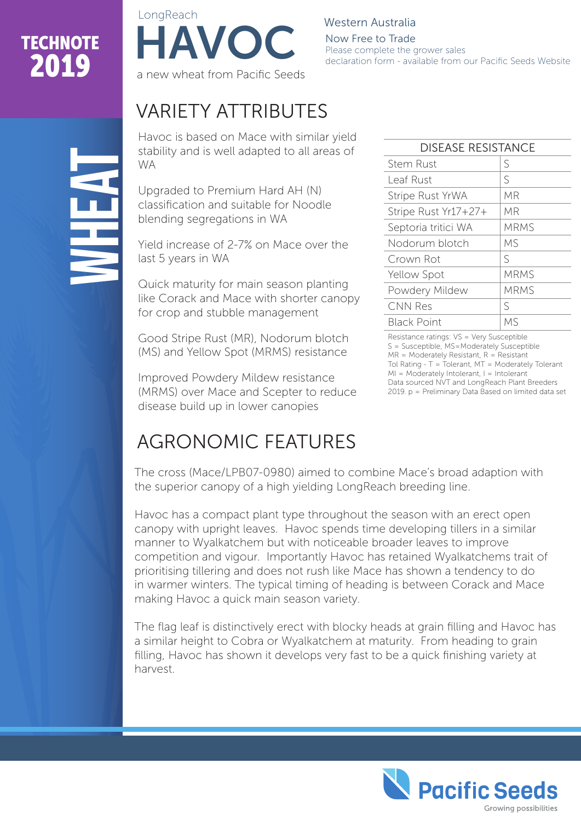# **TECHNOTE**



Western Australia Now Free to Trade Please complete the grower sales declaration form - available from our Pacific Seeds Website

## VARIETY ATTRIBUTES

Havoc is based on Mace with similar yield stability and is well adapted to all areas of WA

Upgraded to Premium Hard AH (N) classification and suitable for Noodle blending segregations in WA

Yield increase of 2-7% on Mace over the last 5 years in WA

Quick maturity for main season planting like Corack and Mace with shorter canopy for crop and stubble management

Good Stripe Rust (MR), Nodorum blotch (MS) and Yellow Spot (MRMS) resistance

Improved Powdery Mildew resistance (MRMS) over Mace and Scepter to reduce disease build up in lower canopies

#### DISEASE RESISTANCE Stem Rust S  $\text{Leaf}$  Rust  $\qquad \qquad$  S Stripe Rust YrWA | MR Stripe Rust Yr17+27+ MR Septoria tritici WA | MRMS Nodorum blotch MS Crown Rot S Yellow Spot MRMS Powdery Mildew | MRMS  $CNN Res$   $S$ Black Point MS

Resistance ratings: VS = Very Susceptible S = Susceptible, MS=Moderately Susceptible  $MR = Modernatedy$  Resistant,  $R = Resistance$ Tol Rating - T = Tolerant, MT = Moderately Tolerant MI = Moderately Intolerant, I = Intolerant Data sourced NVT and LongReach Plant Breeders 2019. p = Preliminary Data Based on limited data set

## AGRONOMIC FEATURES

The cross (Mace/LPB07-0980) aimed to combine Mace's broad adaption with the superior canopy of a high yielding LongReach breeding line.

Havoc has a compact plant type throughout the season with an erect open canopy with upright leaves. Havoc spends time developing tillers in a similar manner to Wyalkatchem but with noticeable broader leaves to improve competition and vigour. Importantly Havoc has retained Wyalkatchems trait of prioritising tillering and does not rush like Mace has shown a tendency to do in warmer winters. The typical timing of heading is between Corack and Mace making Havoc a quick main season variety.

The flag leaf is distinctively erect with blocky heads at grain filling and Havoc has a similar height to Cobra or Wyalkatchem at maturity. From heading to grain filling, Havoc has shown it develops very fast to be a quick finishing variety at harvest.



**NHEAT**